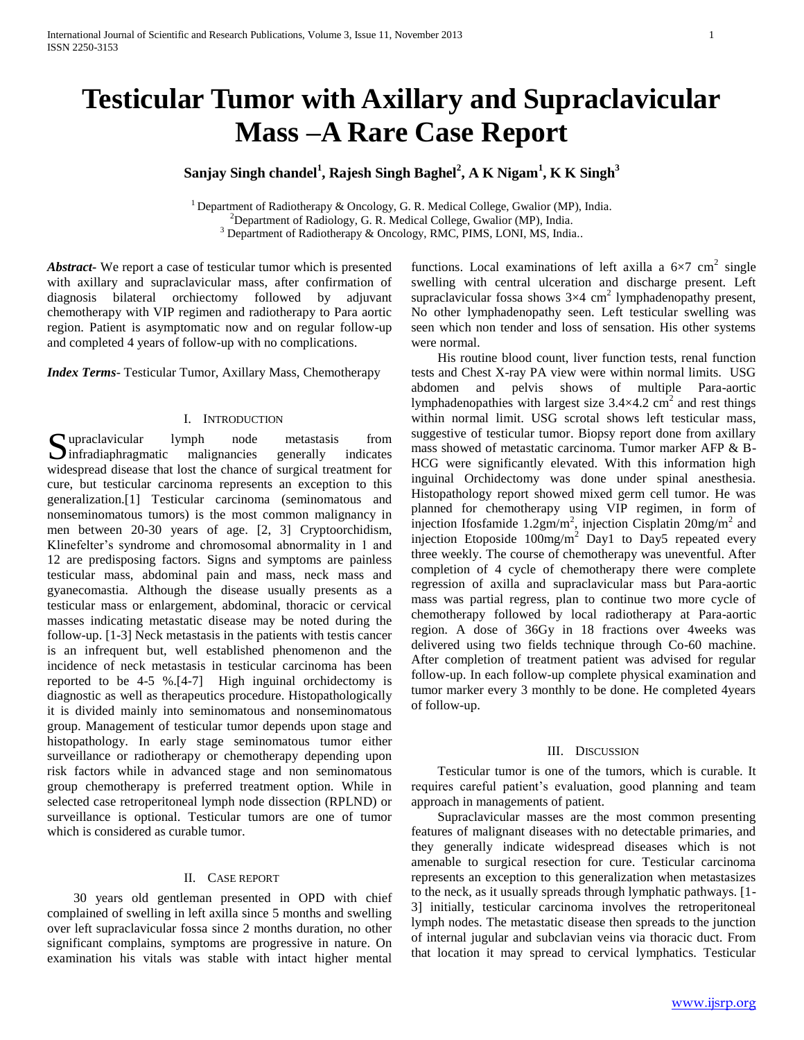# **Testicular Tumor with Axillary and Supraclavicular Mass –A Rare Case Report**

# **Sanjay Singh chandel<sup>1</sup> , Rajesh Singh Baghel<sup>2</sup> , A K Nigam<sup>1</sup> , K K Singh<sup>3</sup>**

<sup>1</sup> Department of Radiotherapy & Oncology, G. R. Medical College, Gwalior (MP), India. <sup>2</sup>Department of Radiology, G. R. Medical College, Gwalior (MP), India. <sup>3</sup> Department of Radiotherapy & Oncology, RMC, PIMS, LONI, MS, India..

*Abstract***-** We report a case of testicular tumor which is presented with axillary and supraclavicular mass, after confirmation of diagnosis bilateral orchiectomy followed by adjuvant chemotherapy with VIP regimen and radiotherapy to Para aortic region. Patient is asymptomatic now and on regular follow-up and completed 4 years of follow-up with no complications.

*Index Terms*- Testicular Tumor, Axillary Mass, Chemotherapy

## I. INTRODUCTION

Supraclavicular lymph node metastasis from<br>
infradiaphragmatic malignancies generally indicates  $\sum$  infradiaphragmatic malignancies generally indicates widespread disease that lost the chance of surgical treatment for cure, but testicular carcinoma represents an exception to this generalization.[1] Testicular carcinoma (seminomatous and nonseminomatous tumors) is the most common malignancy in men between 20-30 years of age. [2, 3] Cryptoorchidism, Klinefelter's syndrome and chromosomal abnormality in 1 and 12 are predisposing factors. Signs and symptoms are painless testicular mass, abdominal pain and mass, neck mass and gyanecomastia. Although the disease usually presents as a testicular mass or enlargement, abdominal, thoracic or cervical masses indicating metastatic disease may be noted during the follow-up. [1-3] Neck metastasis in the patients with testis cancer is an infrequent but, well established phenomenon and the incidence of neck metastasis in testicular carcinoma has been reported to be 4-5 %.[4-7] High inguinal orchidectomy is diagnostic as well as therapeutics procedure. Histopathologically it is divided mainly into seminomatous and nonseminomatous group. Management of testicular tumor depends upon stage and histopathology. In early stage seminomatous tumor either surveillance or radiotherapy or chemotherapy depending upon risk factors while in advanced stage and non seminomatous group chemotherapy is preferred treatment option. While in selected case retroperitoneal lymph node dissection (RPLND) or surveillance is optional. Testicular tumors are one of tumor which is considered as curable tumor.

## II. CASE REPORT

 30 years old gentleman presented in OPD with chief complained of swelling in left axilla since 5 months and swelling over left supraclavicular fossa since 2 months duration, no other significant complains, symptoms are progressive in nature. On examination his vitals was stable with intact higher mental

functions. Local examinations of left axilla a  $6\times7$  cm<sup>2</sup> single swelling with central ulceration and discharge present. Left supraclavicular fossa shows  $3\times4$  cm<sup>2</sup> lymphadenopathy present, No other lymphadenopathy seen. Left testicular swelling was seen which non tender and loss of sensation. His other systems were normal.

 His routine blood count, liver function tests, renal function tests and Chest X-ray PA view were within normal limits. USG abdomen and pelvis shows of multiple Para-aortic lymphadenopathies with largest size  $3.4 \times 4.2$  cm<sup>2</sup> and rest things within normal limit. USG scrotal shows left testicular mass, suggestive of testicular tumor. Biopsy report done from axillary mass showed of metastatic carcinoma. Tumor marker AFP & B-HCG were significantly elevated. With this information high inguinal Orchidectomy was done under spinal anesthesia. Histopathology report showed mixed germ cell tumor. He was planned for chemotherapy using VIP regimen, in form of injection Ifosfamide 1.2gm/m<sup>2</sup>, injection Cisplatin  $20$ mg/m<sup>2</sup> and injection Etoposide  $100mg/m^2$  Day1 to Day5 repeated every three weekly. The course of chemotherapy was uneventful. After completion of 4 cycle of chemotherapy there were complete regression of axilla and supraclavicular mass but Para-aortic mass was partial regress, plan to continue two more cycle of chemotherapy followed by local radiotherapy at Para-aortic region. A dose of 36Gy in 18 fractions over 4weeks was delivered using two fields technique through Co-60 machine. After completion of treatment patient was advised for regular follow-up. In each follow-up complete physical examination and tumor marker every 3 monthly to be done. He completed 4years of follow-up.

#### III. DISCUSSION

 Testicular tumor is one of the tumors, which is curable. It requires careful patient's evaluation, good planning and team approach in managements of patient.

 Supraclavicular masses are the most common presenting features of malignant diseases with no detectable primaries, and they generally indicate widespread diseases which is not amenable to surgical resection for cure. Testicular carcinoma represents an exception to this generalization when metastasizes to the neck, as it usually spreads through lymphatic pathways. [1- 3] initially, testicular carcinoma involves the retroperitoneal lymph nodes. The metastatic disease then spreads to the junction of internal jugular and subclavian veins via thoracic duct. From that location it may spread to cervical lymphatics. Testicular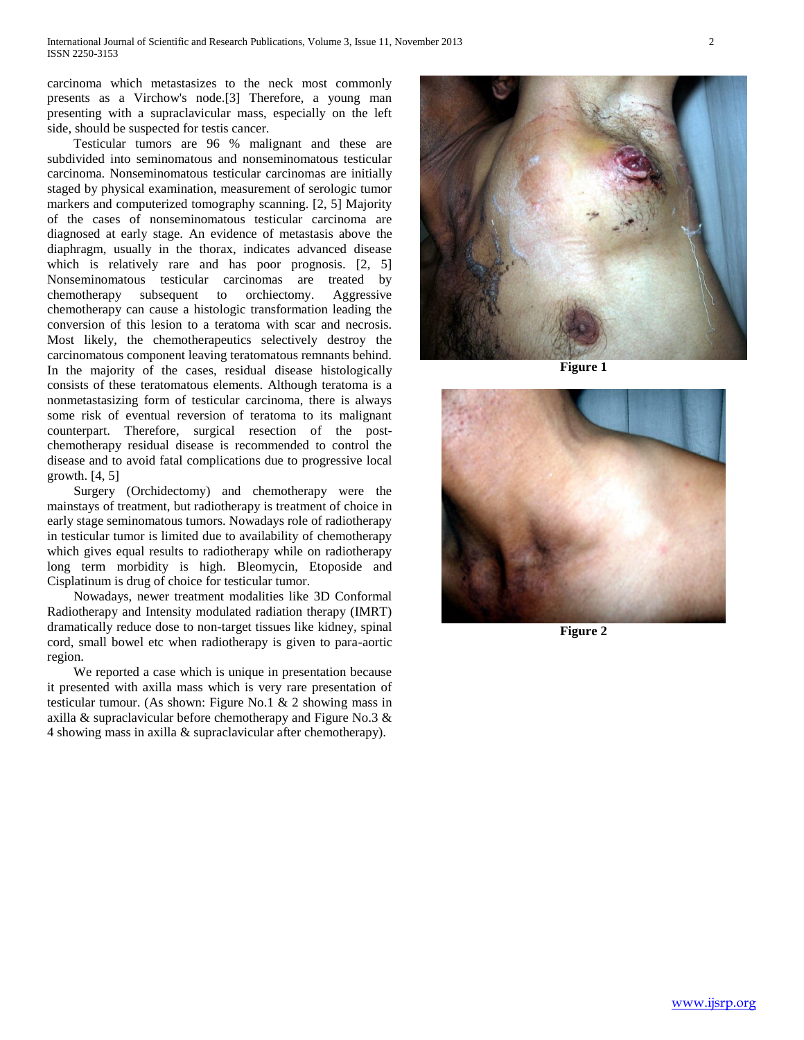carcinoma which metastasizes to the neck most commonly presents as a Virchow's node.[3] Therefore, a young man presenting with a supraclavicular mass, especially on the left side, should be suspected for testis cancer.

 Testicular tumors are 96 % malignant and these are subdivided into seminomatous and nonseminomatous testicular carcinoma. Nonseminomatous testicular carcinomas are initially staged by physical examination, measurement of serologic tumor markers and computerized tomography scanning. [2, 5] Majority of the cases of nonseminomatous testicular carcinoma are diagnosed at early stage. An evidence of metastasis above the diaphragm, usually in the thorax, indicates advanced disease which is relatively rare and has poor prognosis. [2, 5] Nonseminomatous testicular carcinomas are treated by chemotherapy subsequent to orchiectomy. Aggressive chemotherapy can cause a histologic transformation leading the conversion of this lesion to a teratoma with scar and necrosis. Most likely, the chemotherapeutics selectively destroy the carcinomatous component leaving teratomatous remnants behind. In the majority of the cases, residual disease histologically consists of these teratomatous elements. Although teratoma is a nonmetastasizing form of testicular carcinoma, there is always some risk of eventual reversion of teratoma to its malignant counterpart. Therefore, surgical resection of the postchemotherapy residual disease is recommended to control the disease and to avoid fatal complications due to progressive local growth.  $[4, 5]$ 

 Surgery (Orchidectomy) and chemotherapy were the mainstays of treatment, but radiotherapy is treatment of choice in early stage seminomatous tumors. Nowadays role of radiotherapy in testicular tumor is limited due to availability of chemotherapy which gives equal results to radiotherapy while on radiotherapy long term morbidity is high. Bleomycin, Etoposide and Cisplatinum is drug of choice for testicular tumor.

 Nowadays, newer treatment modalities like 3D Conformal Radiotherapy and Intensity modulated radiation therapy (IMRT) dramatically reduce dose to non-target tissues like kidney, spinal cord, small bowel etc when radiotherapy is given to para-aortic region.

 We reported a case which is unique in presentation because it presented with axilla mass which is very rare presentation of testicular tumour. (As shown: Figure No.1 & 2 showing mass in axilla & supraclavicular before chemotherapy and Figure No.3 & 4 showing mass in axilla & supraclavicular after chemotherapy).



**Figure 1**



**Figure 2**